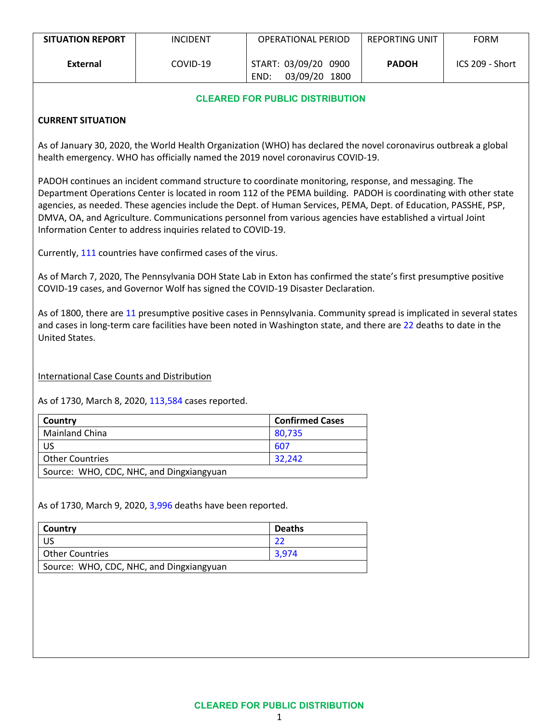| <b>SITUATION REPORT</b> | <b>INCIDENT</b> | <b>OPERATIONAL PERIOD</b>                     | <b>REPORTING UNIT</b> | <b>FORM</b>     |
|-------------------------|-----------------|-----------------------------------------------|-----------------------|-----------------|
| External                | COVID-19        | START: 03/09/20 0900<br>03/09/20 1800<br>END: | <b>PADOH</b>          | ICS 209 - Short |

## **CLEARED FOR PUBLIC DISTRIBUTION**

## **CURRENT SITUATION**

As of January 30, 2020, the World Health Organization (WHO) has declared the novel coronavirus outbreak a global health emergency. WHO has officially named the 2019 novel coronavirus COVID-19.

PADOH continues an incident command structure to coordinate monitoring, response, and messaging. The Department Operations Center is located in room 112 of the PEMA building. PADOH is coordinating with other state agencies, as needed. These agencies include the Dept. of Human Services, PEMA, Dept. of Education, PASSHE, PSP, DMVA, OA, and Agriculture. Communications personnel from various agencies have established a virtual Joint Information Center to address inquiries related to COVID-19.

Currently, 111 countries have confirmed cases of the virus.

As of March 7, 2020, The Pennsylvania DOH State Lab in Exton has confirmed the state's first presumptive positive COVID-19 cases, and Governor Wolf has signed the COVID-19 Disaster Declaration.

As of 1800, there are 11 presumptive positive cases in Pennsylvania. Community spread is implicated in several states and cases in long-term care facilities have been noted in Washington state, and there are 22 deaths to date in the United States.

International Case Counts and Distribution

As of 1730, March 8, 2020, 113,584 cases reported.

| Country                                  | <b>Confirmed Cases</b> |
|------------------------------------------|------------------------|
| <b>Mainland China</b>                    | 80,735                 |
| US                                       | 607                    |
| <b>Other Countries</b>                   | 32.242                 |
| Source: WHO, CDC, NHC, and Dingxiangyuan |                        |

As of 1730, March 9, 2020, 3,996 deaths have been reported.

| Country                                  | <b>Deaths</b> |  |  |  |
|------------------------------------------|---------------|--|--|--|
| US                                       |               |  |  |  |
| <b>Other Countries</b>                   | 3.974         |  |  |  |
| Source: WHO, CDC, NHC, and Dingxiangyuan |               |  |  |  |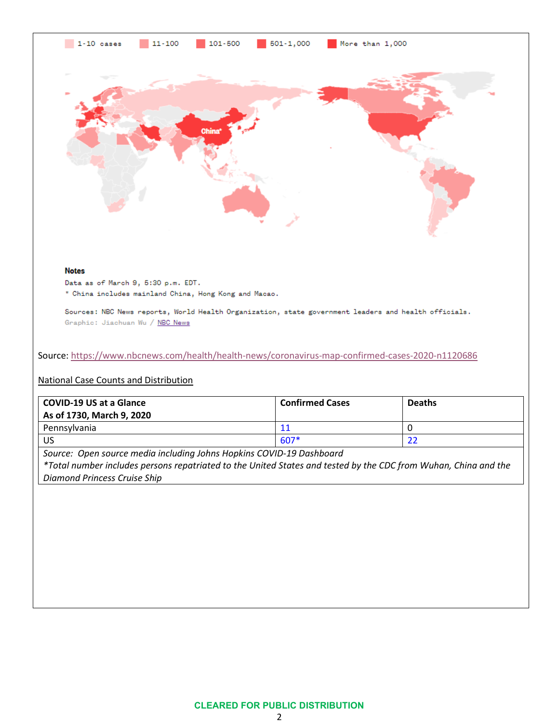



\* China includes mainland China, Hong Kong and Macao.

Sources: NBC News reports, World Health Organization, state government leaders and health officials. Graphic: Jiachuan Wu / NBC News

Source[: https://www.nbcnews.com/health/health-news/coronavirus-map-confirmed-cases-2020-n1120686](https://www.nbcnews.com/health/health-news/coronavirus-map-confirmed-cases-2020-n1120686)

### National Case Counts and Distribution

| <b>COVID-19 US at a Glance</b><br>As of 1730, March 9, 2020 | <b>Confirmed Cases</b> | <b>Deaths</b> |
|-------------------------------------------------------------|------------------------|---------------|
| Pennsylvania                                                |                        |               |
| US                                                          | $607*$                 |               |

*Source: Open source media including Johns Hopkins COVID-19 Dashboard*

*\*Total number includes persons repatriated to the United States and tested by the CDC from Wuhan, China and the Diamond Princess Cruise Ship*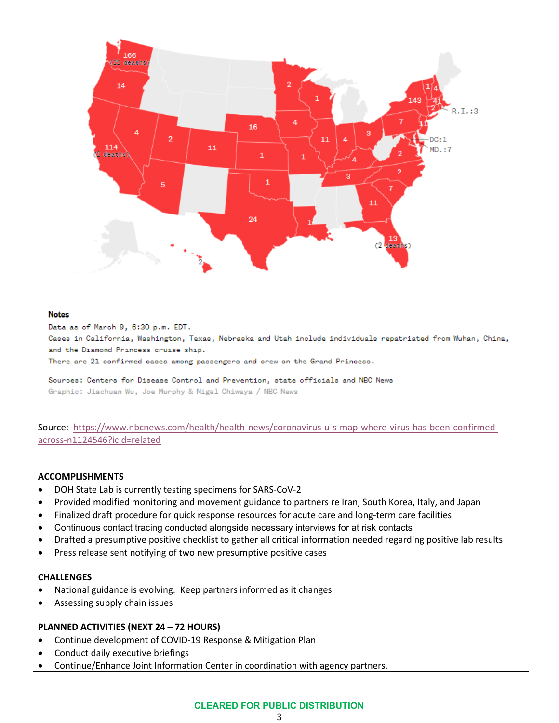

#### **Notes**

Data as of March 9, 6:30 p.m. EDT.

Cases in California, Washington, Texas, Nebraska and Utah include individuals repatriated from Wuhan, China, and the Diamond Princess cruise ship.

There are 21 confirmed cases among passengers and crew on the Grand Princess.

Sources: Centers for Disease Control and Prevention, state officials and NBC News Graphic: Jiachuan Wu, Joe Murphy & Nigel Chiwaya / NBC News

Source: [https://www.nbcnews.com/health/health-news/coronavirus-u-s-map-where-virus-has-been-confirmed](https://www.nbcnews.com/health/health-news/coronavirus-u-s-map-where-virus-has-been-confirmed-across-n1124546?icid=related)[across-n1124546?icid=related](https://www.nbcnews.com/health/health-news/coronavirus-u-s-map-where-virus-has-been-confirmed-across-n1124546?icid=related)

### **ACCOMPLISHMENTS**

- DOH State Lab is currently testing specimens for SARS-CoV-2
- Provided modified monitoring and movement guidance to partners re Iran, South Korea, Italy, and Japan
- Finalized draft procedure for quick response resources for acute care and long-term care facilities
- Continuous contact tracing conducted alongside necessary interviews for at risk contacts
- Drafted a presumptive positive checklist to gather all critical information needed regarding positive lab results
- Press release sent notifying of two new presumptive positive cases

#### **CHALLENGES**

- National guidance is evolving. Keep partners informed as it changes
- Assessing supply chain issues

### **PLANNED ACTIVITIES (NEXT 24 – 72 HOURS)**

- Continue development of COVID-19 Response & Mitigation Plan
- Conduct daily executive briefings
- Continue/Enhance Joint Information Center in coordination with agency partners.

# **CLEARED FOR PUBLIC DISTRIBUTION**